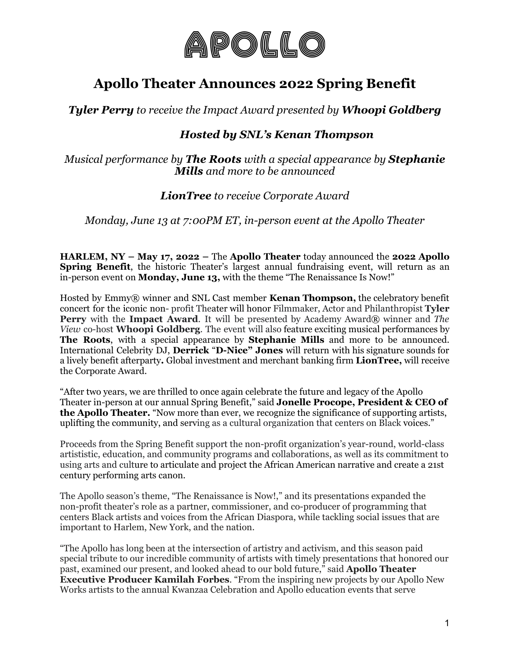

# **Apollo Theater Announces 2022 Spring Benefit**

*Tyler Perry to receive the Impact Award presented by Whoopi Goldberg*

# *Hosted by SNL's Kenan Thompson*

*Musical performance by The Roots with a special appearance by Stephanie Mills and more to be announced*

## *LionTree to receive Corporate Award*

*Monday, June 13 at 7:00PM ET, in-person event at the Apollo Theater*

**HARLEM, NY – May 17, 2022 –** The **Apollo Theater** today announced the **2022 Apollo Spring Benefit**, the historic Theater's largest annual fundraising event, will return as an in-person event on **Monday, June 13,** with the theme "The Renaissance Is Now!"

Hosted by Emmy® winner and SNL Cast member **Kenan Thompson,** the celebratory benefit concert for the iconic non- profit Theater will honor Filmmaker, Actor and Philanthropist **Tyler Perry** with the **Impact Award**. It will be presented by Academy Award® winner and *The View* co-host **Whoopi Goldberg**. The event will also feature exciting musical performances by **The Roots**, with a special appearance by **Stephanie Mills** and more to be announced. International Celebrity DJ, **Derrick** "**D-Nice" Jones** will return with his signature sounds for a lively benefit afterparty**.** Global investment and merchant banking firm **LionTree,** will receive the Corporate Award.

"After two years, we are thrilled to once again celebrate the future and legacy of the Apollo Theater in-person at our annual Spring Benefit," said **Jonelle Procope, President & CEO of the Apollo Theater.** "Now more than ever, we recognize the significance of supporting artists, uplifting the community, and serving as a cultural organization that centers on Black voices."

Proceeds from the Spring Benefit support the non-profit organization's year-round, world-class artististic, education, and community programs and collaborations, as well as its commitment to using arts and culture to articulate and project the African American narrative and create a 21st century performing arts canon.

The Apollo season's theme, "The Renaissance is Now!," and its presentations expanded the non-profit theater's role as a partner, commissioner, and co-producer of programming that centers Black artists and voices from the African Diaspora, while tackling social issues that are important to Harlem, New York, and the nation.

"The Apollo has long been at the intersection of artistry and activism, and this season paid special tribute to our incredible community of artists with timely presentations that honored our past, examined our present, and looked ahead to our bold future," said **Apollo Theater Executive Producer Kamilah Forbes**. "From the inspiring new projects by our Apollo New Works artists to the annual Kwanzaa Celebration and Apollo education events that serve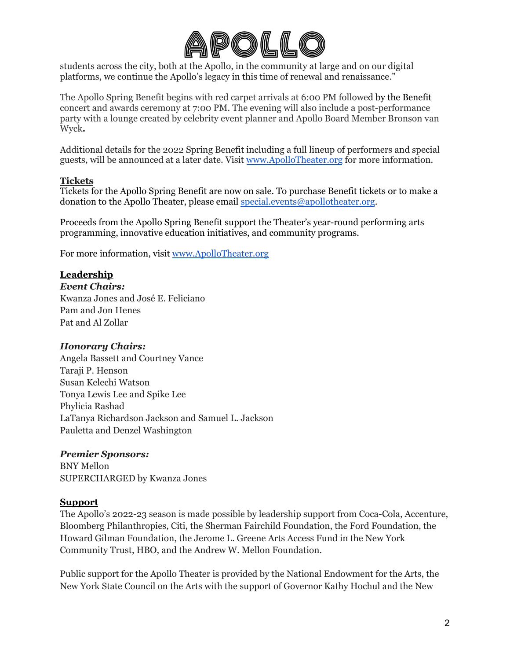

students across the city, both at the Apollo, in the community at large and on our digital platforms, we continue the Apollo's legacy in this time of renewal and renaissance."

The Apollo Spring Benefit begins with red carpet arrivals at 6:00 PM followed by the Benefit concert and awards ceremony at 7:00 PM. The evening will also include a post-performance party with a lounge created by celebrity event planner and Apollo Board Member Bronson van Wyck**.**

Additional details for the 2022 Spring Benefit including a full lineup of performers and special guests, will be announced at a later date. Visit [www.](http://www.apollotheater.org/)ApolloTheater.org for more information.

### **Tickets**

Tickets for the Apollo Spring Benefit are now on sale. To purchase Benefit tickets or to make a donation to the Apollo Theater, please email [special.events@apollotheater.org](mailto:special.events@apollotheater.org).

Proceeds from the Apollo Spring Benefit support the Theater's year-round performing arts programming, innovative education initiatives, and community programs.

For more information, visit [www.](http://www.apollotheater.org/)ApolloTheater.org

### **Leadership**

*Event Chairs:* Kwanza Jones and José E. Feliciano Pam and Jon Henes Pat and Al Zollar

### *Honorary Chairs:*

Angela Bassett and Courtney Vance Taraji P. Henson Susan Kelechi Watson Tonya Lewis Lee and Spike Lee Phylicia Rashad LaTanya Richardson Jackson and Samuel L. Jackson Pauletta and Denzel Washington

### *Premier Sponsors:*

BNY Mellon SUPERCHARGED by Kwanza Jones

### **Support**

The Apollo's 2022-23 season is made possible by leadership support from Coca-Cola, Accenture, Bloomberg Philanthropies, Citi, the Sherman Fairchild Foundation, the Ford Foundation, the Howard Gilman Foundation, the Jerome L. Greene Arts Access Fund in the New York Community Trust, HBO, and the Andrew W. Mellon Foundation.

Public support for the Apollo Theater is provided by the National Endowment for the Arts, the New York State Council on the Arts with the support of Governor Kathy Hochul and the New